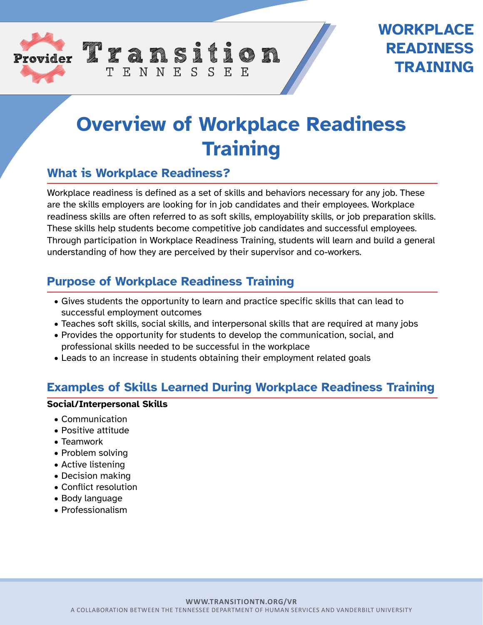

# **Overview of Workplace Readiness Training**

## **What is Workplace Readiness?**

Workplace readiness is defined as a set of skills and behaviors necessary for any job. These are the skills employers are looking for in job candidates and their employees. Workplace readiness skills are often referred to as soft skills, employability skills, or job preparation skills. These skills help students become competitive job candidates and successful employees. Through participation in Workplace Readiness Training, students will learn and build a general understanding of how they are perceived by their supervisor and co-workers.

## **Purpose of Workplace Readiness Training**

TENNESSEE

- Gives students the opportunity to learn and practice specific skills that can lead to successful employment outcomes
- Teaches soft skills, social skills, and interpersonal skills that are required at many jobs
- Provides the opportunity for students to develop the communication, social, and professional skills needed to be successful in the workplace
- Leads to an increase in students obtaining their employment related goals

## **Examples of Skills Learned During Workplace Readiness Training**

#### **Social/Interpersonal Skills**

- Communication
- Positive attitude
- Teamwork
- Problem solving
- Active listening
- Decision making
- Conflict resolution
- Body language
- Professionalism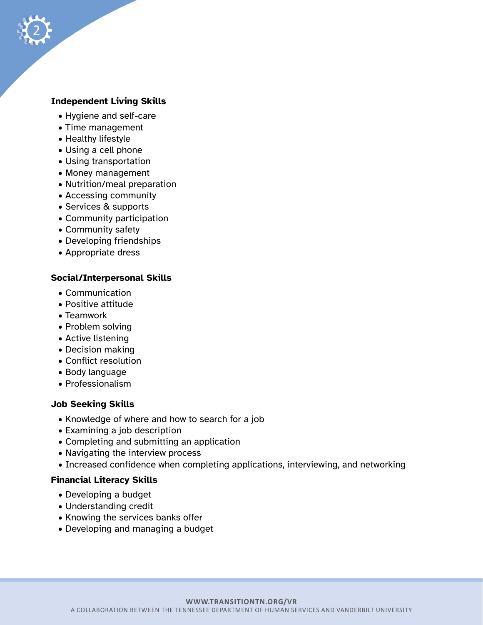

- Hygiene and self-care
- Time management
- Healthy lifestyle

2

- Using a cell phone
- Using transportation
- Money management
- Nutrition/meal preparation
- Accessing community
- Services & supports
- Community participation
- Community safety
- Developing friendships
- Appropriate dress

#### **Social/Interpersonal Skills**

- Communication
- Positive attitude
- Teamwork
- Problem solving
- Active listening
- Decision making
- Conflict resolution
- Body language
- Professionalism

#### **Job Seeking Skills**

- Knowledge of where and how to search for a job
- Examining a job description
- Completing and submitting an application
- Navigating the interview process
- Increased confidence when completing applications, interviewing, and networking

#### **Financial Literacy Skills**

- Developing a budget
- Understanding credit
- Knowing the services banks offer
- Developing and managing a budget

#### **WWW.TRANSITIONTN.ORG/VR**